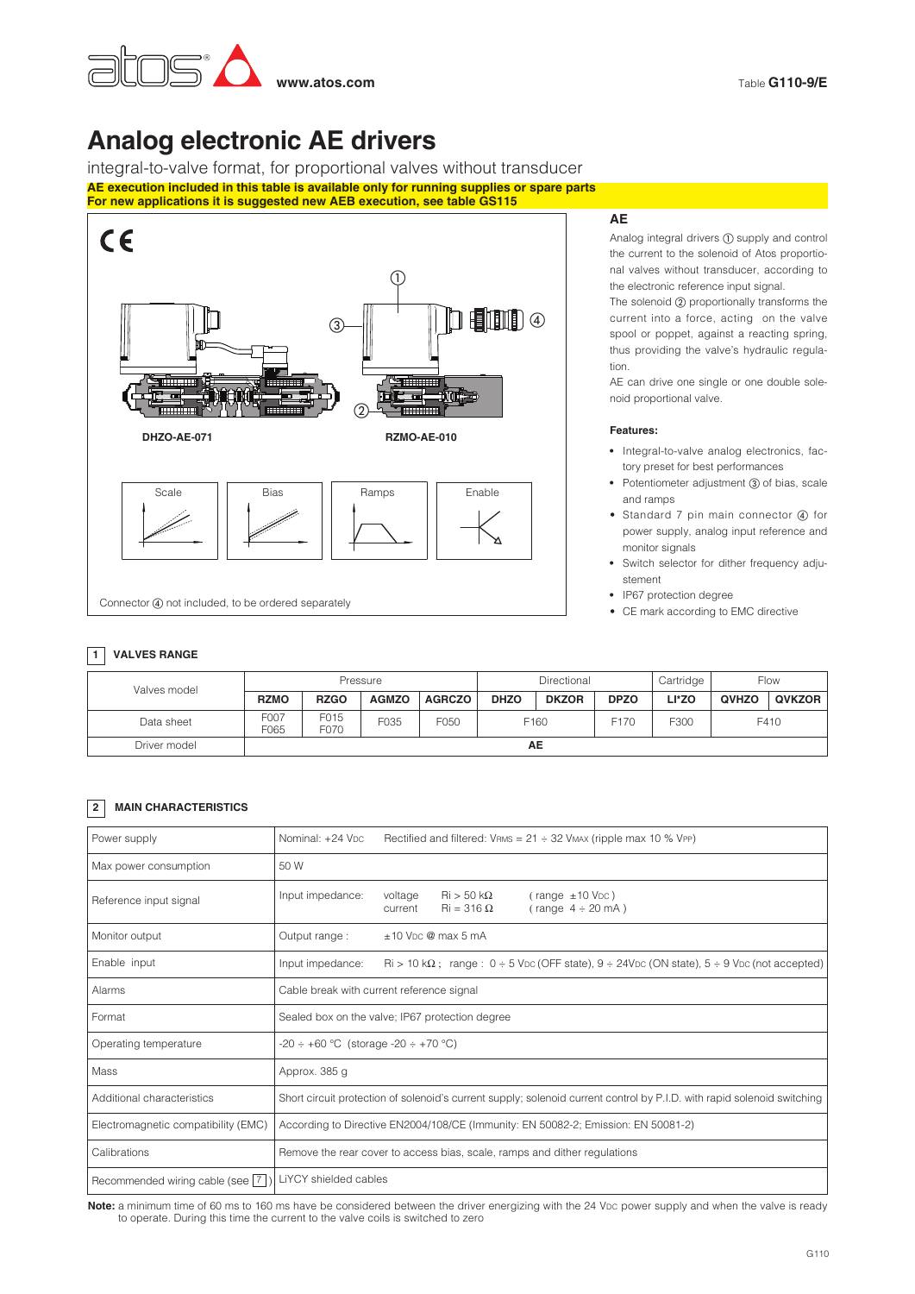

# **Analog electronic AE drivers**

integral-to-valve format, for proportional valves without transducer **AE execution included in this table is available only for running supplies or spare parts For new applications it is suggested new AEB execution, see table GS115**



## **AE**

Analog integral drivers  $(1)$  supply and control the current to the solenoid of Atos proportional valves without transducer, according to the electronic reference input signal.

The solenoid 2 proportionally transforms the current into a force, acting on the valve spool or poppet, against a reacting spring, thus providing the valve's hydraulic regulation.

AE can drive one single or one double solenoid proportional valve.

#### **Features:**

- **•** Integral-to-valve analog electronics, factory preset for best performances
- Potentiometer adjustment (3) of bias, scale and ramps
- Standard 7 pin main connector 4 for power supply, analog input reference and monitor signals
- **•** Switch selector for dither frequency adjustement
- **•** IP67 protection degree
- CE mark according to EMC directive

# **1 VALVES RANGE**

| Valves model | Pressure     |              |              |               | Directional |              |                  | Cartridge | Flow  |        |
|--------------|--------------|--------------|--------------|---------------|-------------|--------------|------------------|-----------|-------|--------|
|              | <b>RZMO</b>  | <b>RZGO</b>  | <b>AGMZO</b> | <b>AGRCZO</b> | <b>DHZO</b> | <b>DKZOR</b> | <b>DPZO</b>      | LI*ZO     | QVHZO | QVKZOR |
| Data sheet   | F007<br>F065 | F015<br>F070 | F035         | F050          | F160        |              | F <sub>170</sub> | F300      | F410  |        |
| Driver model |              |              |              |               |             | AЕ           |                  |           |       |        |

# **2 MAIN CHARACTERISTICS**

| Power supply                        | Nominal: +24 Vpc<br>Rectified and filtered: $V_{RMS} = 21 \div 32$ VMAX (ripple max 10 % VPP)                                                                               |  |  |  |  |  |
|-------------------------------------|-----------------------------------------------------------------------------------------------------------------------------------------------------------------------------|--|--|--|--|--|
| Max power consumption               | 50 W                                                                                                                                                                        |  |  |  |  |  |
| Reference input signal              | Input impedance:<br>$\text{Ri} > 50 \text{ k}\Omega$<br>$(\text{range} \pm 10 \text{ VDC})$<br>voltage<br>$\text{Ri} = 316 \Omega$<br>(range $4 \div 20$ mA)<br>current     |  |  |  |  |  |
| Monitor output                      | $±10$ V <sub>DC</sub> @ max 5 mA<br>Output range:                                                                                                                           |  |  |  |  |  |
| Enable input                        | $\text{Ri} > 10 \text{ k}\Omega$ ; range: $0 \div 5 \text{ VDC}$ (OFF state), $9 \div 24 \text{ VDC}$ (ON state), $5 \div 9 \text{ VDC}$ (not accepted)<br>Input impedance: |  |  |  |  |  |
| Alarms                              | Cable break with current reference signal                                                                                                                                   |  |  |  |  |  |
| Format                              | Sealed box on the valve; IP67 protection degree                                                                                                                             |  |  |  |  |  |
| Operating temperature               | $-20 \div +60$ °C (storage $-20 \div +70$ °C)                                                                                                                               |  |  |  |  |  |
| Mass                                | Approx. 385 g                                                                                                                                                               |  |  |  |  |  |
| Additional characteristics          | Short circuit protection of solenoid's current supply; solenoid current control by P.I.D. with rapid solenoid switching                                                     |  |  |  |  |  |
| Electromagnetic compatibility (EMC) | According to Directive EN2004/108/CE (Immunity: EN 50082-2; Emission: EN 50081-2)                                                                                           |  |  |  |  |  |
| Calibrations                        | Remove the rear cover to access bias, scale, ramps and dither regulations                                                                                                   |  |  |  |  |  |
| Recommended wiring cable (see   7   | LiYCY shielded cables                                                                                                                                                       |  |  |  |  |  |

Note: a minimum time of 60 ms to 160 ms have be considered between the driver energizing with the 24 VDC power supply and when the valve is ready to operate. During this time the current to the valve coils is switched to zero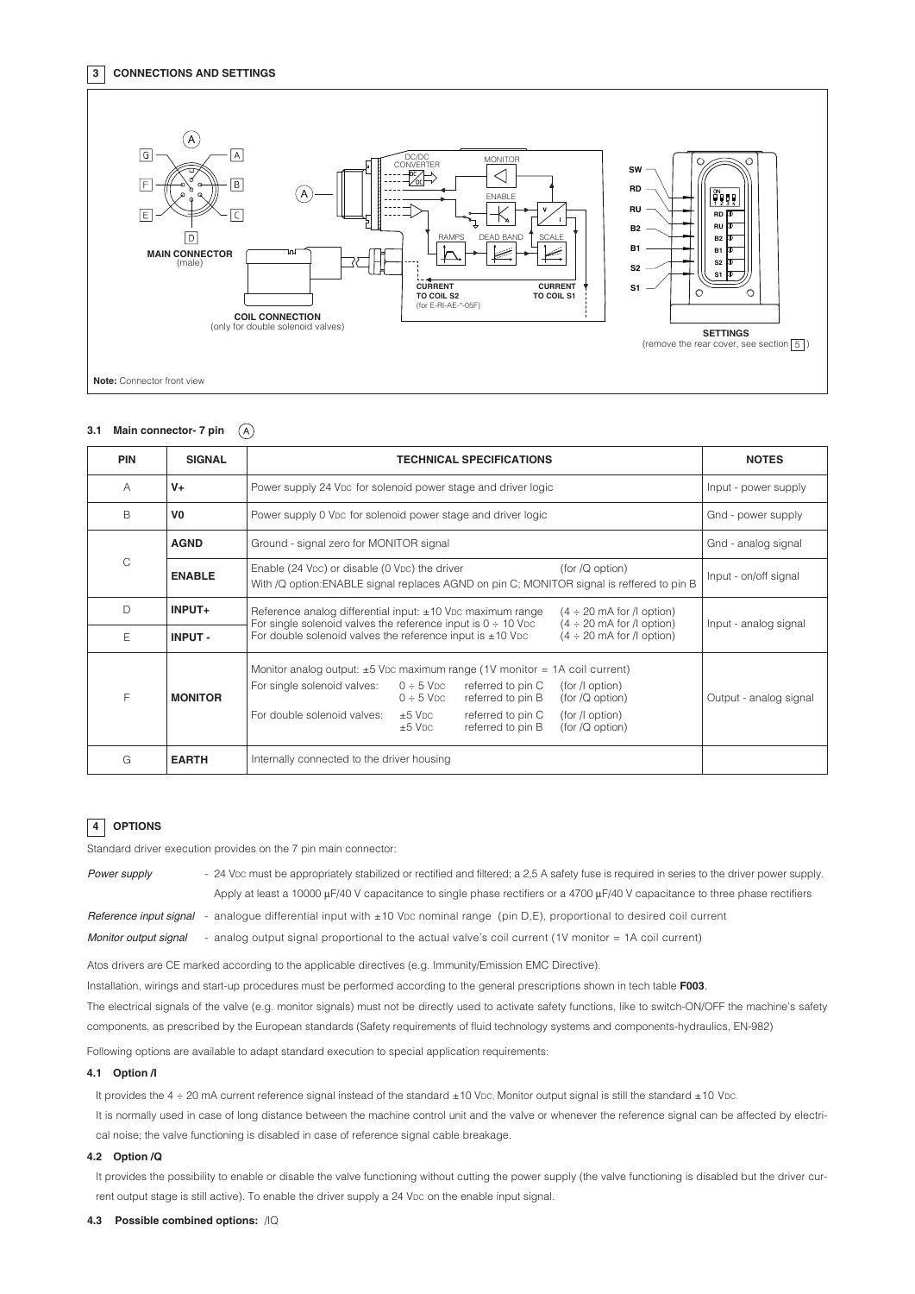#### **3 CONNECTIONS AND SETTINGS**



#### **3.1 Main connector- 7 pin**  $\mathcal{A}$

| <b>PIN</b> | <b>SIGNAL</b>  |                                                                                                                                                                      | <b>NOTES</b>                                                                                             |                                                                                  |                                                                           |                        |
|------------|----------------|----------------------------------------------------------------------------------------------------------------------------------------------------------------------|----------------------------------------------------------------------------------------------------------|----------------------------------------------------------------------------------|---------------------------------------------------------------------------|------------------------|
| A          | $V +$          | Power supply 24 Vpc for solenoid power stage and driver logic                                                                                                        | Input - power supply                                                                                     |                                                                                  |                                                                           |                        |
| B          | V <sub>0</sub> | Power supply 0 V <sub>DC</sub> for solenoid power stage and driver logic                                                                                             | Gnd - power supply                                                                                       |                                                                                  |                                                                           |                        |
|            | <b>AGND</b>    | Ground - signal zero for MONITOR signal                                                                                                                              | Gnd - analog signal                                                                                      |                                                                                  |                                                                           |                        |
| Ċ          | <b>ENABLE</b>  | Enable (24 V <sub>DC</sub> ) or disable (0 V <sub>DC</sub> ) the driver<br>With /Q option: ENABLE signal replaces AGND on pin C; MONITOR signal is reffered to pin B | Input - on/off signal                                                                                    |                                                                                  |                                                                           |                        |
| D          | INPUT+         | Reference analog differential input: ±10 Vpc maximum range<br>For single solenoid valves the reference input is $0 \div 10$ V <sub>DC</sub>                          | Input - analog signal                                                                                    |                                                                                  |                                                                           |                        |
| E          | <b>INPUT-</b>  | For double solenoid valves the reference input is $\pm 10$ Vpc                                                                                                       |                                                                                                          |                                                                                  |                                                                           |                        |
| F          | <b>MONITOR</b> | Monitor analog output: $\pm 5$ V <sub>DC</sub> maximum range (1V monitor = 1A coil current)<br>For single solenoid valves:<br>For double solenoid valves:            | $0 \div 5$ V <sub>DC</sub><br>$0 \div 5$ V <sub>DC</sub><br>$+5$ V <sub>DC</sub><br>$±5$ V <sub>DC</sub> | referred to pin C<br>referred to pin B<br>referred to pin C<br>referred to pin B | (for /l option)<br>(for/Q option)<br>(for /l option)<br>(for $/Q$ option) | Output - analog signal |
| G          | <b>EARTH</b>   | Internally connected to the driver housing                                                                                                                           |                                                                                                          |                                                                                  |                                                                           |                        |

### **4 OPTIONS**

Standard driver execution provides on the 7 pin main connector:

| Power supply           | - 24 Vpc must be appropriately stabilized or rectified and filtered; a 2.5 A safety fuse is required in series to the driver power supply. |
|------------------------|--------------------------------------------------------------------------------------------------------------------------------------------|
|                        | Apply at least a 10000 $\mu$ F/40 V capacitance to single phase rectifiers or a 4700 $\mu$ F/40 V capacitance to three phase rectifiers    |
| Reference input signal | - analogue differential input with $\pm 10$ Vpc nominal range (pin D,E), proportional to desired coil current                              |
| Monitor output signal  | - analog output signal proportional to the actual valve's coil current (1V monitor = 1A coil current)                                      |

Atos drivers are CE marked according to the applicable directives (e.g. Immunity/Emission EMC Directive).

Installation, wirings and start-up procedures must be performed according to the general prescriptions shown in tech table **F003**.

The electrical signals of the valve (e.g. monitor signals) must not be directly used to activate safety functions, like to switch-ON/OFF the machine's safety components, as prescribed by the European standards (Safety requirements of fluid technology systems and components-hydraulics, EN-982)

Following options are available to adapt standard execution to special application requirements:

#### **4.1 Option /I**

It provides the  $4 \div 20$  mA current reference signal instead of the standard  $\pm 10$  V<sub>DC</sub>; Monitor output signal is still the standard  $\pm 10$  V<sub>DC</sub>.

It is normally used in case of long distance between the machine control unit and the valve or whenever the reference signal can be affected by electrical noise; the valve functioning is disabled in case of reference signal cable breakage.

#### **4.2 Option /Q**

It provides the possibility to enable or disable the valve functioning without cutting the power supply (the valve functioning is disabled but the driver current output stage is still active). To enable the driver supply a 24 VDC on the enable input signal.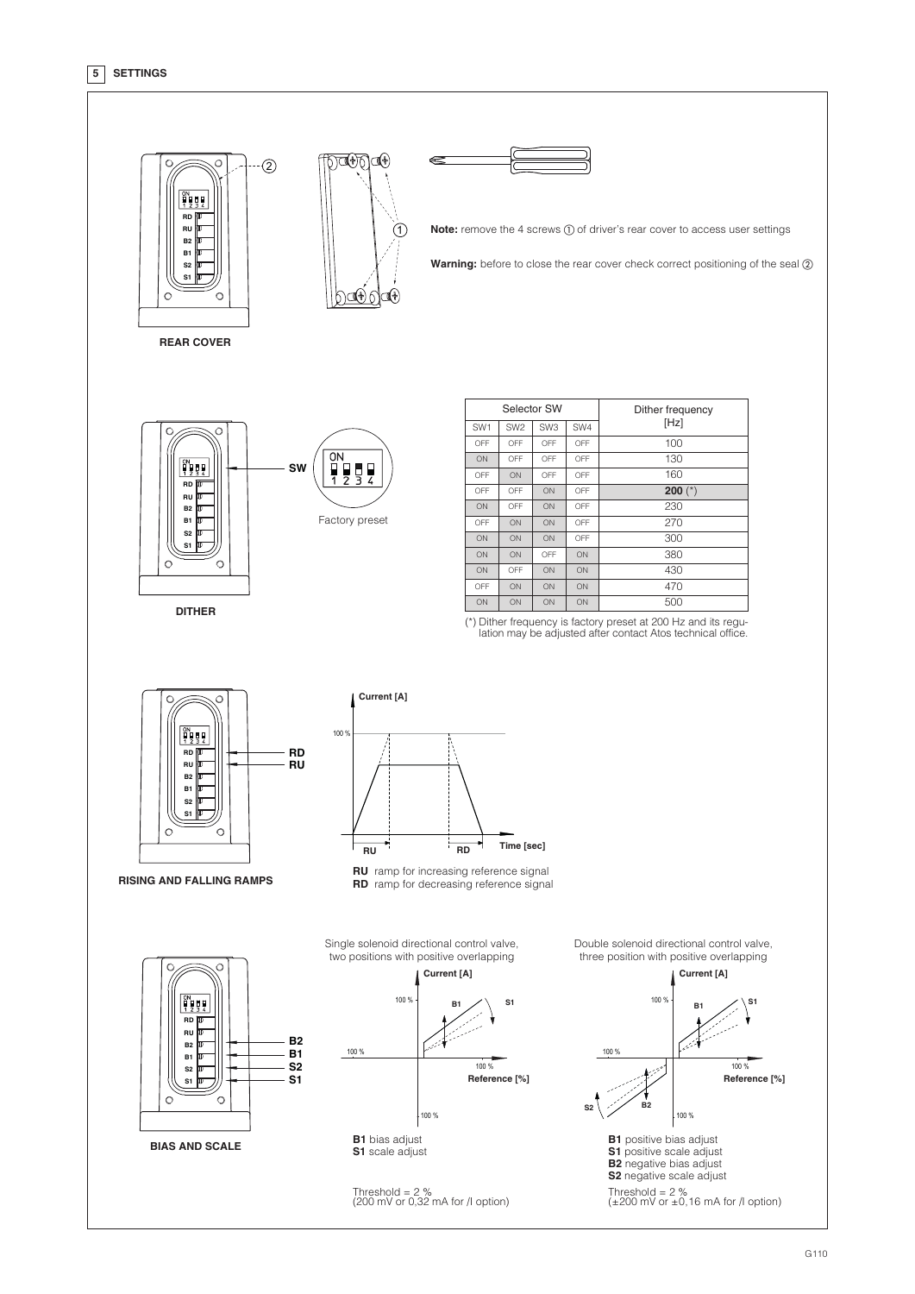# **5 SETTINGS**